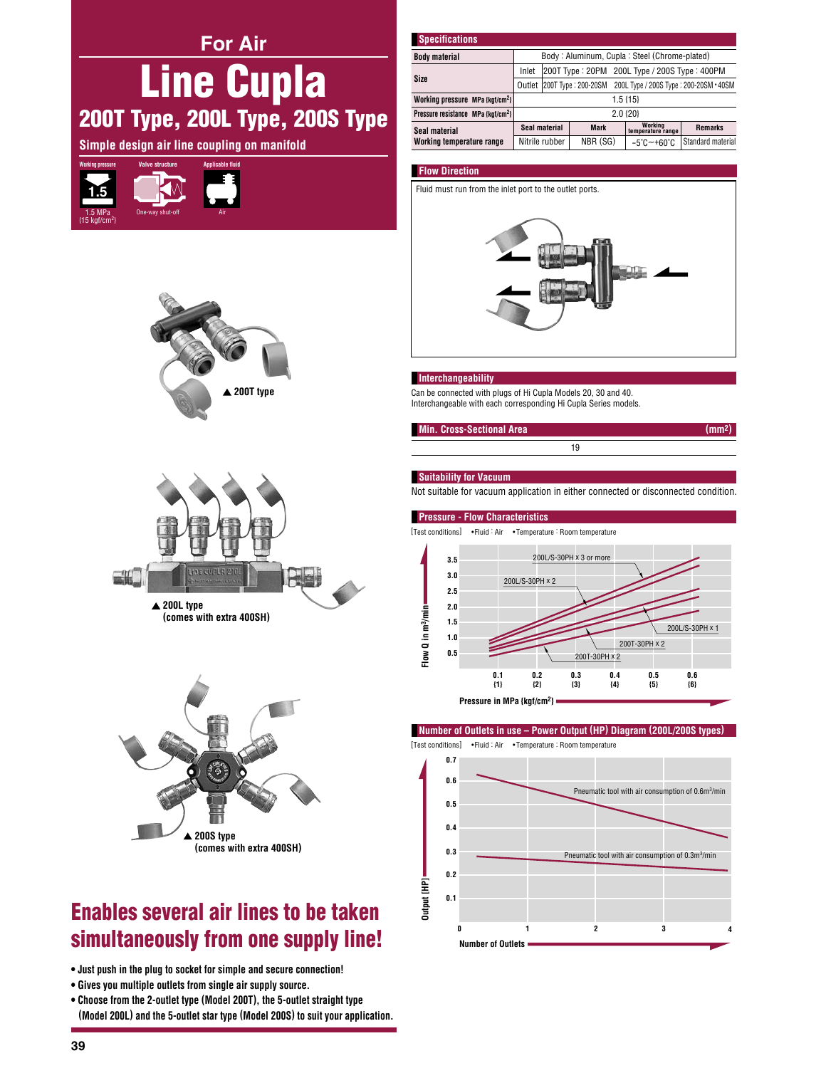**For Air** 

# **Line Cupla** 200T Type, 200L Type, 200S Type

Simple design air line coupling on manifold







(comes with extra 400SH)



## **Enables several air lines to be taken** simultaneously from one supply line!

- . Just push in the plug to socket for simple and secure connection!
- . Gives you multiple outlets from single air supply source.
- . Choose from the 2-outlet type (Model 200T), the 5-outlet straight type (Model 200L) and the 5-outlet star type (Model 200S) to suit your application.

| <b>Specifications</b>                          |                                                                      |  |             |  |                                 |                   |
|------------------------------------------------|----------------------------------------------------------------------|--|-------------|--|---------------------------------|-------------------|
| <b>Body material</b>                           | Body: Aluminum, Cupla: Steel (Chrome-plated)                         |  |             |  |                                 |                   |
| Size                                           | 200T Type: 20PM 200L Type / 200S Type: 400PM<br>Inlet                |  |             |  |                                 |                   |
|                                                | Outlet 200T Type: 200-20SM<br>200L Type / 200S Type: 200-20SM · 40SM |  |             |  |                                 |                   |
| Working pressure MPa {kgf/cm <sup>2</sup> }    | $1.5$ {15}                                                           |  |             |  |                                 |                   |
| Pressure resistance MPa {kgf/cm <sup>2</sup> } | 2.0 {20}                                                             |  |             |  |                                 |                   |
| Seal material<br>Working temperature range     | Seal material                                                        |  | <b>Mark</b> |  | Working<br>temperature range    | <b>Remarks</b>    |
|                                                | Nitrile rubber                                                       |  | NBR (SG)    |  | $-5^{\circ}$ C $-+60^{\circ}$ C | Standard material |

#### **Flow Direction**

Fluid must run from the inlet port to the outlet ports.



#### **Interchangeability**

Can be connected with plugs of Hi Cupla Models 20, 30 and 40. Interchangeable with each corresponding Hi Cupla Series models.



#### **Suitability for Vacuum**

Not suitable for vacuum application in either connected or disconnected condition.

 $\overline{19}$ 

#### **Pressure - Flow Characteristics**



Pressure in MPa {kgf/cm<sup>2</sup>}

Number of Outlets in use - Power Output (HP) Diagram (200L/200S types)